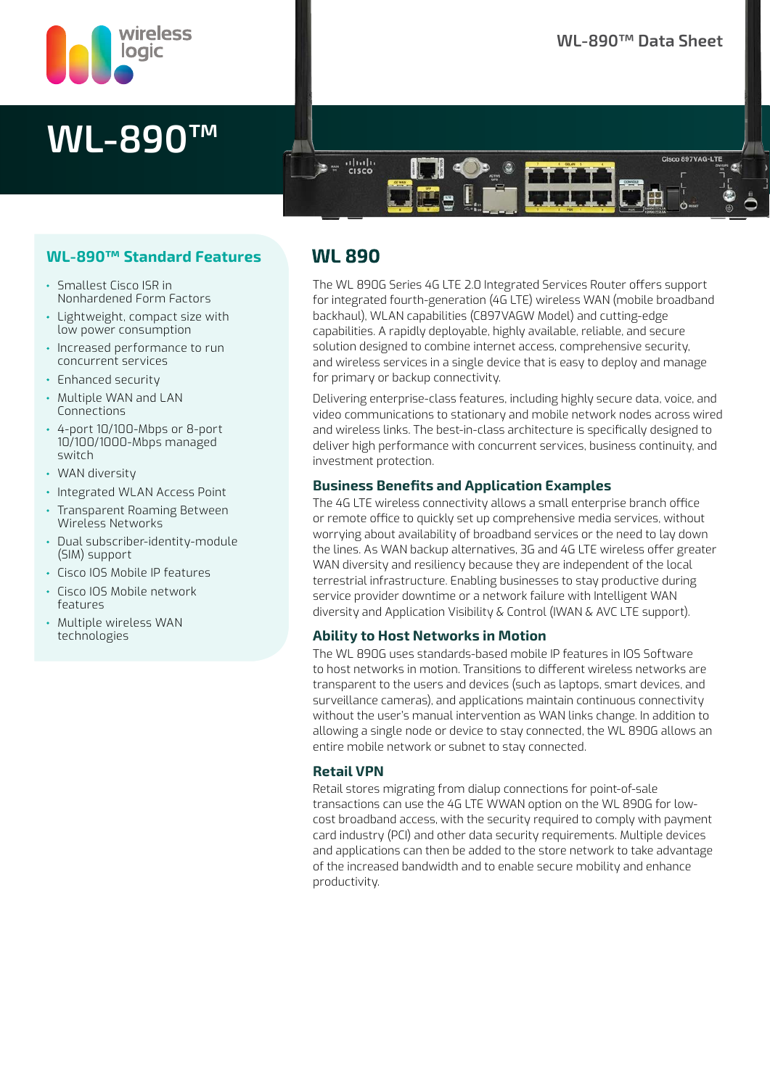

# **WL-890™**



### **WL-890™ Standard Features**

- Smallest Cisco ISR in Nonhardened Form Factors
- Lightweight, compact size with low power consumption
- Increased performance to run concurrent services
- Enhanced security
- Multiple WAN and LAN Connections
- 4-port 10/100-Mbps or 8-port 10/100/1000-Mbps managed switch
- WAN diversity
- Integrated WLAN Access Point
- Transparent Roaming Between  $\bullet$ Wireless Networks
- Dual subscriber-identity-module (SIM) support
- Cisco IOS Mobile IP features
- Cisco IOS Mobile network features
- Multiple wireless WAN technologies

## **WL 890**

The WL 890G Series 4G LTE 2.0 Integrated Services Router offers support for integrated fourth-generation (4G LTE) wireless WAN (mobile broadband backhaul), WLAN capabilities (C897VAGW Model) and cutting-edge capabilities. A rapidly deployable, highly available, reliable, and secure solution designed to combine internet access, comprehensive security, and wireless services in a single device that is easy to deploy and manage for primary or backup connectivity.

Delivering enterprise-class features, including highly secure data, voice, and video communications to stationary and mobile network nodes across wired and wireless links. The best-in-class architecture is specifically designed to deliver high performance with concurrent services, business continuity, and investment protection.

#### **Business Benefits and Application Examples**

The 4G LTE wireless connectivity allows a small enterprise branch office or remote office to quickly set up comprehensive media services, without worrying about availability of broadband services or the need to lay down the lines. As WAN backup alternatives, 3G and 4G LTE wireless offer greater WAN diversity and resiliency because they are independent of the local terrestrial infrastructure. Enabling businesses to stay productive during service provider downtime or a network failure with Intelligent WAN diversity and Application Visibility & Control (IWAN & AVC LTE support).

#### **Ability to Host Networks in Motion**

The WL 890G uses standards-based mobile IP features in IOS Software to host networks in motion. Transitions to different wireless networks are transparent to the users and devices (such as laptops, smart devices, and surveillance cameras), and applications maintain continuous connectivity without the user's manual intervention as WAN links change. In addition to allowing a single node or device to stay connected, the WL 890G allows an entire mobile network or subnet to stay connected.

#### **Retail VPN**

Retail stores migrating from dialup connections for point-of-sale transactions can use the 4G LTE WWAN option on the WL 890G for lowcost broadband access, with the security required to comply with payment card industry (PCI) and other data security requirements. Multiple devices and applications can then be added to the store network to take advantage of the increased bandwidth and to enable secure mobility and enhance productivity.